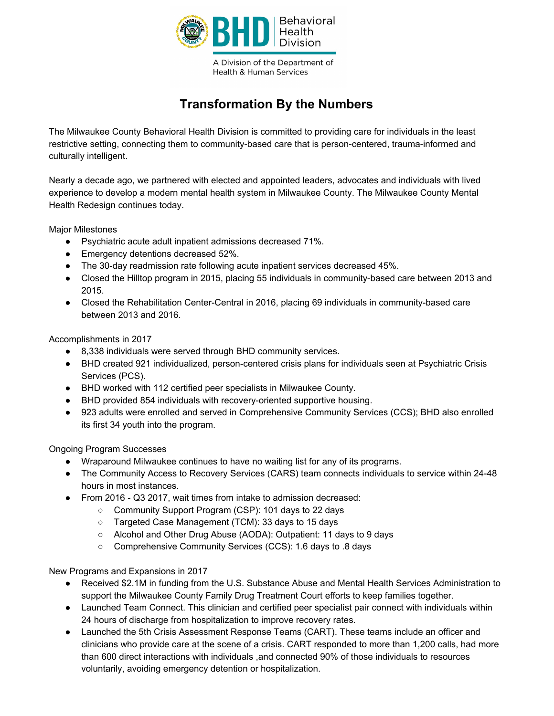

A Division of the Department of **Health & Human Services** 

## **Transformation By the Numbers**

The Milwaukee County Behavioral Health Division is committed to providing care for individuals in the least restrictive setting, connecting them to community-based care that is person-centered, trauma-informed and culturally intelligent.

Nearly a decade ago, we partnered with elected and appointed leaders, advocates and individuals with lived experience to develop a modern mental health system in Milwaukee County. The Milwaukee County Mental Health Redesign continues today.

Major Milestones

- Psychiatric acute adult inpatient admissions decreased 71%.
- Emergency detentions decreased 52%.
- The 30-day readmission rate following acute inpatient services decreased 45%.
- Closed the Hilltop program in 2015, placing 55 individuals in community-based care between 2013 and 2015.
- Closed the Rehabilitation Center-Central in 2016, placing 69 individuals in community-based care between 2013 and 2016.

Accomplishments in 2017

- 8,338 individuals were served through BHD community services.
- BHD created 921 individualized, person-centered crisis plans for individuals seen at Psychiatric Crisis Services (PCS).
- BHD worked with 112 certified peer specialists in Milwaukee County.
- BHD provided 854 individuals with recovery-oriented supportive housing.
- 923 adults were enrolled and served in Comprehensive Community Services (CCS); BHD also enrolled its first 34 youth into the program.

Ongoing Program Successes

- Wraparound Milwaukee continues to have no waiting list for any of its programs.
- The Community Access to Recovery Services (CARS) team connects individuals to service within 24-48 hours in most instances.
- From 2016 Q3 2017, wait times from intake to admission decreased:
	- Community Support Program (CSP): 101 days to 22 days
	- Targeted Case Management (TCM): 33 days to 15 days
	- Alcohol and Other Drug Abuse (AODA): Outpatient: 11 days to 9 days
	- Comprehensive Community Services (CCS): 1.6 days to .8 days

New Programs and Expansions in 2017

- Received \$2.1M in funding from the U.S. Substance Abuse and Mental Health Services Administration to support the Milwaukee County Family Drug Treatment Court efforts to keep families together.
- Launched Team Connect. This clinician and certified peer specialist pair connect with individuals within 24 hours of discharge from hospitalization to improve recovery rates.
- Launched the 5th Crisis Assessment Response Teams (CART). These teams include an officer and clinicians who provide care at the scene of a crisis. CART responded to more than 1,200 calls, had more than 600 direct interactions with individuals ,and connected 90% of those individuals to resources voluntarily, avoiding emergency detention or hospitalization.